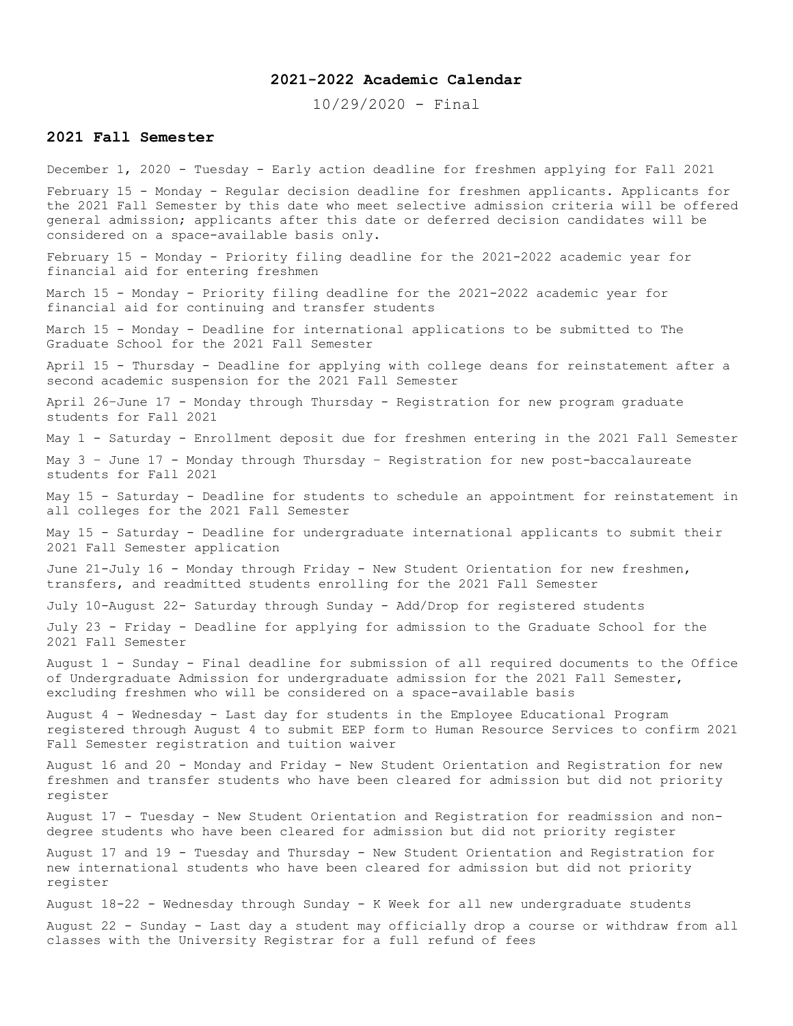## **2021-2022 Academic Calendar**

10/29/2020 - Final

### **2021 Fall Semester**

December 1, 2020 - Tuesday - Early action deadline for freshmen applying for Fall 2021

February 15 - Monday - Regular decision deadline for freshmen applicants. Applicants for the 2021 Fall Semester by this date who meet selective admission criteria will be offered general admission; applicants after this date or deferred decision candidates will be considered on a space-available basis only.

February 15 - Monday - Priority filing deadline for the 2021-2022 academic year for financial aid for entering freshmen

March 15 - Monday - Priority filing deadline for the 2021-2022 academic year for financial aid for continuing and transfer students

March 15 - Monday - Deadline for international applications to be submitted to The Graduate School for the 2021 Fall Semester

April 15 - Thursday - Deadline for applying with college deans for reinstatement after a second academic suspension for the 2021 Fall Semester

April 26–June 17 - Monday through Thursday - Registration for new program graduate students for Fall 2021

May 1 - Saturday - Enrollment deposit due for freshmen entering in the 2021 Fall Semester

May 3 – June 17 - Monday through Thursday – Registration for new post-baccalaureate students for Fall 2021

May 15 - Saturday - Deadline for students to schedule an appointment for reinstatement in all colleges for the 2021 Fall Semester

May 15 - Saturday - Deadline for undergraduate international applicants to submit their 2021 Fall Semester application

June 21-July 16 - Monday through Friday - New Student Orientation for new freshmen, transfers, and readmitted students enrolling for the 2021 Fall Semester

July 10-August 22- Saturday through Sunday - Add/Drop for registered students

July 23 - Friday - Deadline for applying for admission to the Graduate School for the 2021 Fall Semester

August 1 - Sunday - Final deadline for submission of all required documents to the Office of Undergraduate Admission for undergraduate admission for the 2021 Fall Semester, excluding freshmen who will be considered on a space-available basis

August 4 - Wednesday - Last day for students in the Employee Educational Program registered through August 4 to submit EEP form to Human Resource Services to confirm 2021 Fall Semester registration and tuition waiver

August 16 and 20 - Monday and Friday - New Student Orientation and Registration for new freshmen and transfer students who have been cleared for admission but did not priority register

August 17 - Tuesday - New Student Orientation and Registration for readmission and nondegree students who have been cleared for admission but did not priority register

August 17 and 19 - Tuesday and Thursday - New Student Orientation and Registration for new international students who have been cleared for admission but did not priority register

August 18-22 - Wednesday through Sunday - K Week for all new undergraduate students

August 22 - Sunday - Last day a student may officially drop a course or withdraw from all classes with the University Registrar for a full refund of fees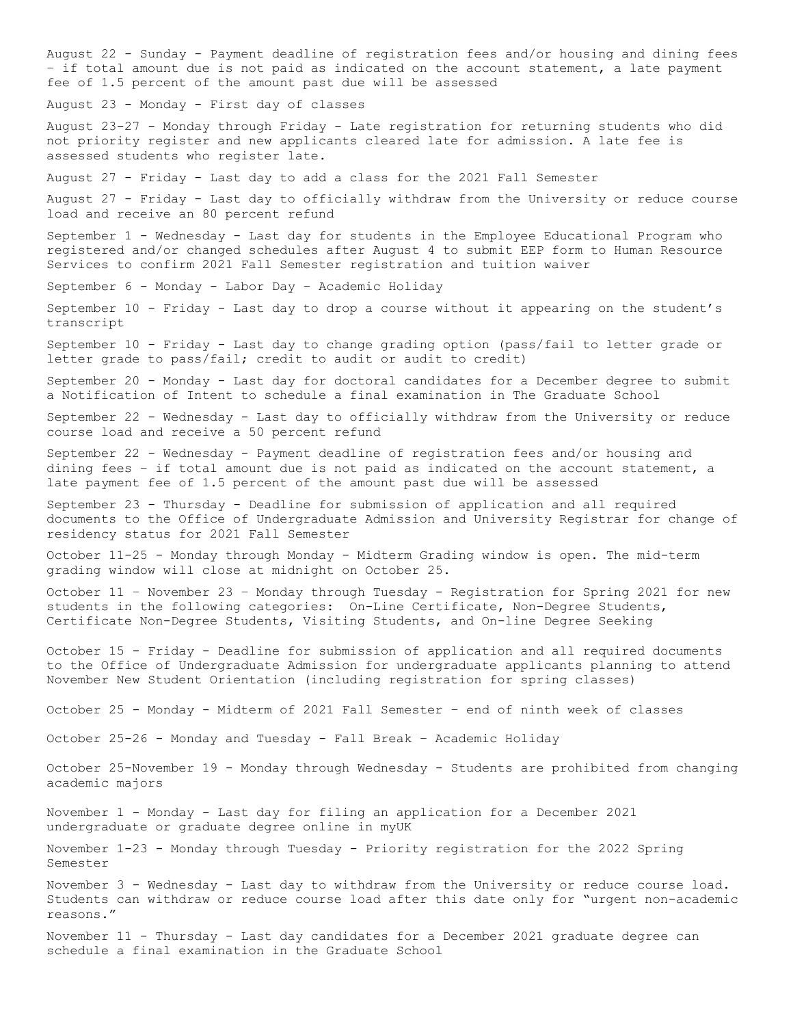August 22 - Sunday - Payment deadline of registration fees and/or housing and dining fees – if total amount due is not paid as indicated on the account statement, a late payment fee of 1.5 percent of the amount past due will be assessed August 23 - Monday - First day of classes August 23-27 - Monday through Friday - Late registration for returning students who did not priority register and new applicants cleared late for admission. A late fee is assessed students who register late. August 27 - Friday - Last day to add a class for the 2021 Fall Semester August 27 - Friday - Last day to officially withdraw from the University or reduce course load and receive an 80 percent refund September 1 - Wednesday - Last day for students in the Employee Educational Program who registered and/or changed schedules after August 4 to submit EEP form to Human Resource Services to confirm 2021 Fall Semester registration and tuition waiver September 6 - Monday - Labor Day – Academic Holiday September 10 - Friday - Last day to drop a course without it appearing on the student's transcript September 10 - Friday - Last day to change grading option (pass/fail to letter grade or letter grade to pass/fail; credit to audit or audit to credit) September 20 - Monday - Last day for doctoral candidates for a December degree to submit a Notification of Intent to schedule a final examination in The Graduate School September 22 - Wednesday - Last day to officially withdraw from the University or reduce course load and receive a 50 percent refund September 22 - Wednesday - Payment deadline of registration fees and/or housing and dining fees – if total amount due is not paid as indicated on the account statement, a late payment fee of 1.5 percent of the amount past due will be assessed September 23 - Thursday - Deadline for submission of application and all required documents to the Office of Undergraduate Admission and University Registrar for change of residency status for 2021 Fall Semester October 11-25 - Monday through Monday - Midterm Grading window is open. The mid-term grading window will close at midnight on October 25. October 11 – November 23 – Monday through Tuesday - Registration for Spring 2021 for new students in the following categories: On-Line Certificate, Non-Degree Students, Certificate Non-Degree Students, Visiting Students, and On-line Degree Seeking October 15 - Friday - Deadline for submission of application and all required documents to the Office of Undergraduate Admission for undergraduate applicants planning to attend November New Student Orientation (including registration for spring classes) October 25 - Monday - Midterm of 2021 Fall Semester – end of ninth week of classes October 25-26 - Monday and Tuesday - Fall Break – Academic Holiday October 25-November 19 - Monday through Wednesday - Students are prohibited from changing academic majors November 1 - Monday - Last day for filing an application for a December 2021 undergraduate or graduate degree online in myUK November 1-23 - Monday through Tuesday - Priority registration for the 2022 Spring Semester November 3 - Wednesday - Last day to withdraw from the University or reduce course load. Students can withdraw or reduce course load after this date only for "urgent non-academic reasons." November 11 - Thursday - Last day candidates for a December 2021 graduate degree can schedule a final examination in the Graduate School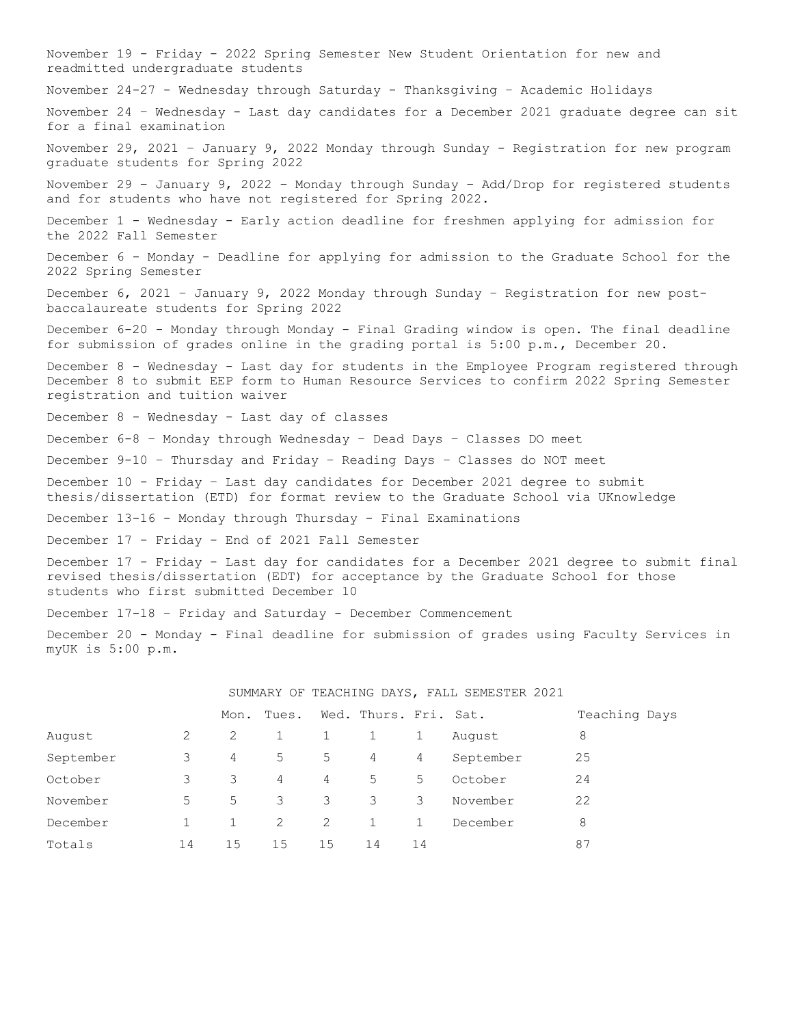November 19 - Friday - 2022 Spring Semester New Student Orientation for new and readmitted undergraduate students November 24-27 - Wednesday through Saturday - Thanksgiving – Academic Holidays November 24 – Wednesday - Last day candidates for a December 2021 graduate degree can sit for a final examination November 29, 2021 – January 9, 2022 Monday through Sunday - Registration for new program graduate students for Spring 2022 November 29 – January 9, 2022 – Monday through Sunday – Add/Drop for registered students and for students who have not registered for Spring 2022. December 1 - Wednesday - Early action deadline for freshmen applying for admission for the 2022 Fall Semester December 6 - Monday - Deadline for applying for admission to the Graduate School for the 2022 Spring Semester December 6, 2021 – January 9, 2022 Monday through Sunday – Registration for new postbaccalaureate students for Spring 2022 December 6-20 - Monday through Monday - Final Grading window is open. The final deadline for submission of grades online in the grading portal is 5:00 p.m., December 20. December 8 - Wednesday - Last day for students in the Employee Program registered through December 8 to submit EEP form to Human Resource Services to confirm 2022 Spring Semester registration and tuition waiver December 8 - Wednesday - Last day of classes December 6-8 – Monday through Wednesday – Dead Days – Classes DO meet December 9-10 – Thursday and Friday – Reading Days – Classes do NOT meet December 10 - Friday – Last day candidates for December 2021 degree to submit thesis/dissertation (ETD) for format review to the Graduate School via UKnowledge December 13-16 - Monday through Thursday - Final Examinations December 17 - Friday - End of 2021 Fall Semester December 17 - Friday - Last day for candidates for a December 2021 degree to submit final revised thesis/dissertation (EDT) for acceptance by the Graduate School for those students who first submitted December 10 December 17-18 – Friday and Saturday - December Commencement December 20 - Monday - Final deadline for submission of grades using Faculty Services in myUK is 5:00 p.m.

|           |    | Mon. | Tues. |    | Wed. Thurs. Fri. Sat. |              |           | Teaching Days |
|-----------|----|------|-------|----|-----------------------|--------------|-----------|---------------|
| August    | 2  | 2    |       | 1  |                       | 1            | August    | 8             |
| September | 3  | 4    | 5     | 5  | 4                     | 4            | September | 25            |
| October   | 3  | 3    | 4     | 4  | 5                     | 5            | October   | 24            |
| November  | 5  | 5    | 3     | 3  | 3                     | 3            | November  | 22            |
| December  |    |      | 2     | 2  |                       | $\mathbf{1}$ | December  | 8             |
| Totals    | 14 | 15   | 15    | 15 | 14                    | 14           |           | 87            |

SUMMARY OF TEACHING DAYS, FALL SEMESTER 2021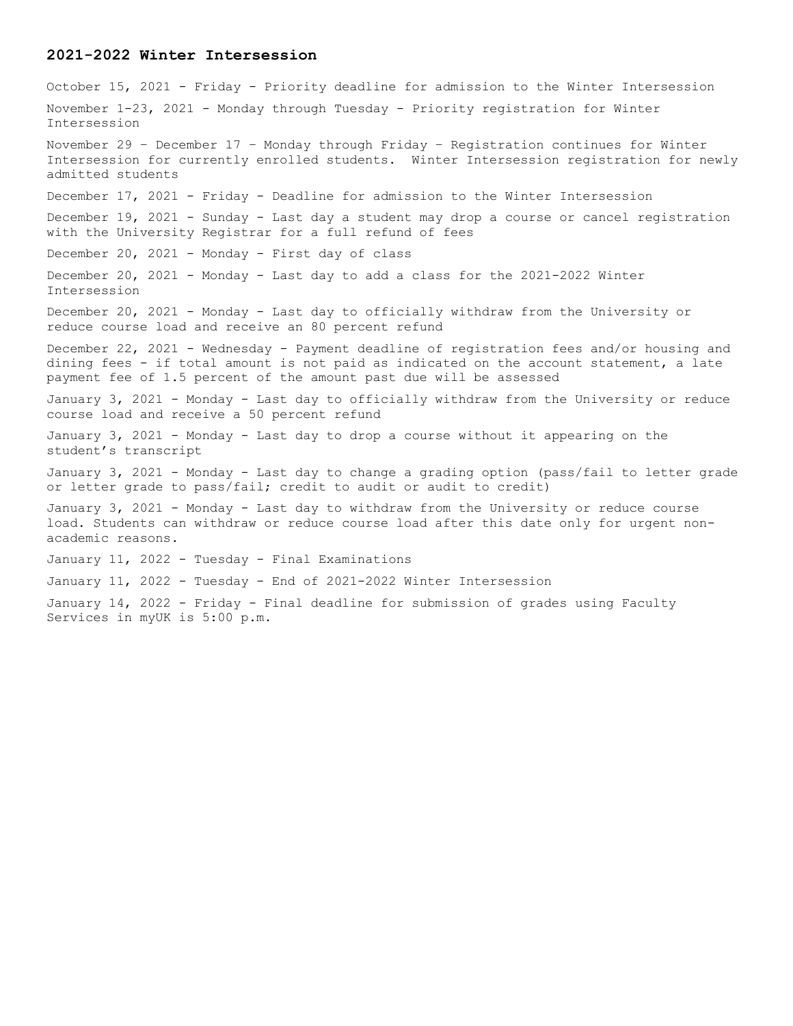#### **2021-2022 Winter Intersession**

October 15, 2021 - Friday - Priority deadline for admission to the Winter Intersession November 1-23, 2021 - Monday through Tuesday - Priority registration for Winter Intersession November 29 – December 17 – Monday through Friday – Registration continues for Winter Intersession for currently enrolled students. Winter Intersession registration for newly admitted students December 17, 2021 - Friday - Deadline for admission to the Winter Intersession December 19, 2021 - Sunday - Last day a student may drop a course or cancel registration with the University Registrar for a full refund of fees December 20, 2021 - Monday - First day of class December 20, 2021 - Monday - Last day to add a class for the 2021-2022 Winter Intersession December 20, 2021 - Monday - Last day to officially withdraw from the University or reduce course load and receive an 80 percent refund December 22, 2021 - Wednesday - Payment deadline of registration fees and/or housing and dining fees - if total amount is not paid as indicated on the account statement, a late payment fee of 1.5 percent of the amount past due will be assessed January 3, 2021 - Monday - Last day to officially withdraw from the University or reduce course load and receive a 50 percent refund January 3, 2021 - Monday - Last day to drop a course without it appearing on the student's transcript January 3, 2021 - Monday - Last day to change a grading option (pass/fail to letter grade or letter grade to pass/fail; credit to audit or audit to credit) January 3, 2021 - Monday - Last day to withdraw from the University or reduce course load. Students can withdraw or reduce course load after this date only for urgent nonacademic reasons. January 11, 2022 - Tuesday - Final Examinations January 11, 2022 - Tuesday - End of 2021-2022 Winter Intersession January 14, 2022 - Friday - Final deadline for submission of grades using Faculty Services in myUK is 5:00 p.m.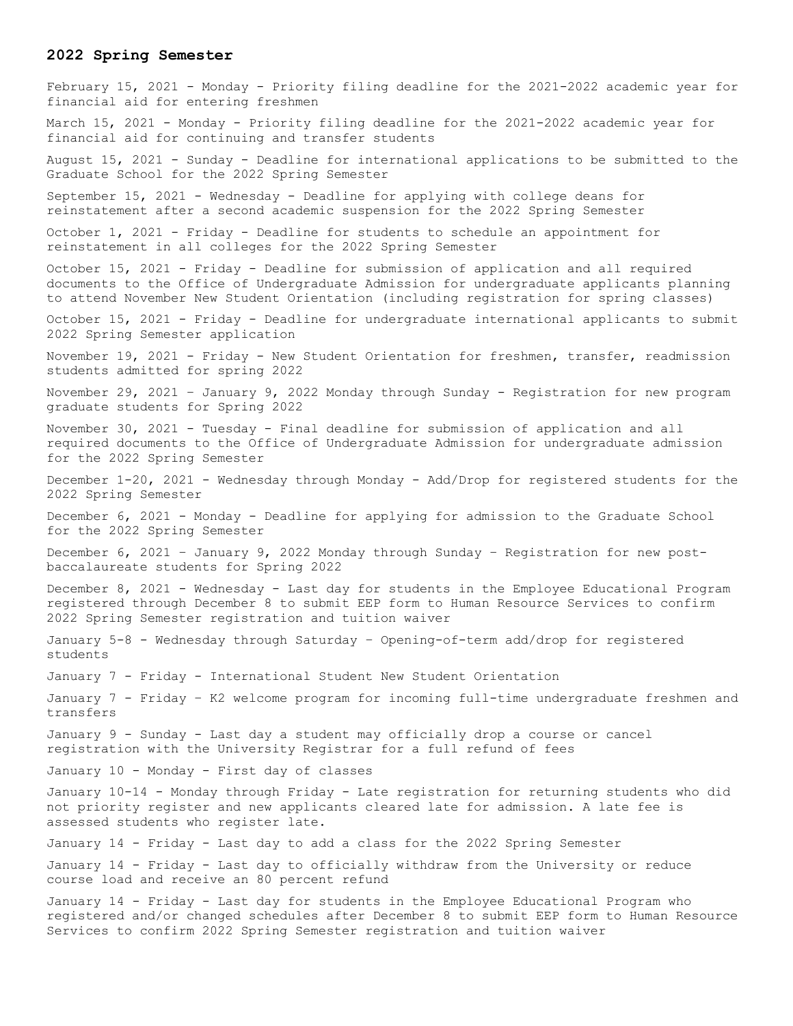#### **2022 Spring Semester**

February 15, 2021 - Monday - Priority filing deadline for the 2021-2022 academic year for financial aid for entering freshmen March 15, 2021 - Monday - Priority filing deadline for the 2021-2022 academic year for financial aid for continuing and transfer students August 15, 2021 - Sunday - Deadline for international applications to be submitted to the Graduate School for the 2022 Spring Semester September 15, 2021 - Wednesday - Deadline for applying with college deans for reinstatement after a second academic suspension for the 2022 Spring Semester October 1, 2021 - Friday - Deadline for students to schedule an appointment for reinstatement in all colleges for the 2022 Spring Semester October 15, 2021 - Friday - Deadline for submission of application and all required documents to the Office of Undergraduate Admission for undergraduate applicants planning to attend November New Student Orientation (including registration for spring classes) October 15, 2021 - Friday - Deadline for undergraduate international applicants to submit 2022 Spring Semester application November 19, 2021 - Friday - New Student Orientation for freshmen, transfer, readmission students admitted for spring 2022 November 29, 2021 – January 9, 2022 Monday through Sunday - Registration for new program graduate students for Spring 2022 November 30, 2021 - Tuesday - Final deadline for submission of application and all required documents to the Office of Undergraduate Admission for undergraduate admission for the 2022 Spring Semester December 1-20, 2021 - Wednesday through Monday - Add/Drop for registered students for the 2022 Spring Semester December 6, 2021 - Monday - Deadline for applying for admission to the Graduate School for the 2022 Spring Semester December 6, 2021 – January 9, 2022 Monday through Sunday – Registration for new postbaccalaureate students for Spring 2022 December 8, 2021 - Wednesday - Last day for students in the Employee Educational Program registered through December 8 to submit EEP form to Human Resource Services to confirm 2022 Spring Semester registration and tuition waiver January 5-8 - Wednesday through Saturday – Opening-of-term add/drop for registered students January 7 - Friday - International Student New Student Orientation January 7 - Friday – K2 welcome program for incoming full-time undergraduate freshmen and transfers January 9 - Sunday - Last day a student may officially drop a course or cancel registration with the University Registrar for a full refund of fees January 10 - Monday - First day of classes January 10-14 - Monday through Friday - Late registration for returning students who did not priority register and new applicants cleared late for admission. A late fee is assessed students who register late. January 14 - Friday - Last day to add a class for the 2022 Spring Semester January 14 - Friday - Last day to officially withdraw from the University or reduce course load and receive an 80 percent refund January 14 - Friday - Last day for students in the Employee Educational Program who registered and/or changed schedules after December 8 to submit EEP form to Human Resource Services to confirm 2022 Spring Semester registration and tuition waiver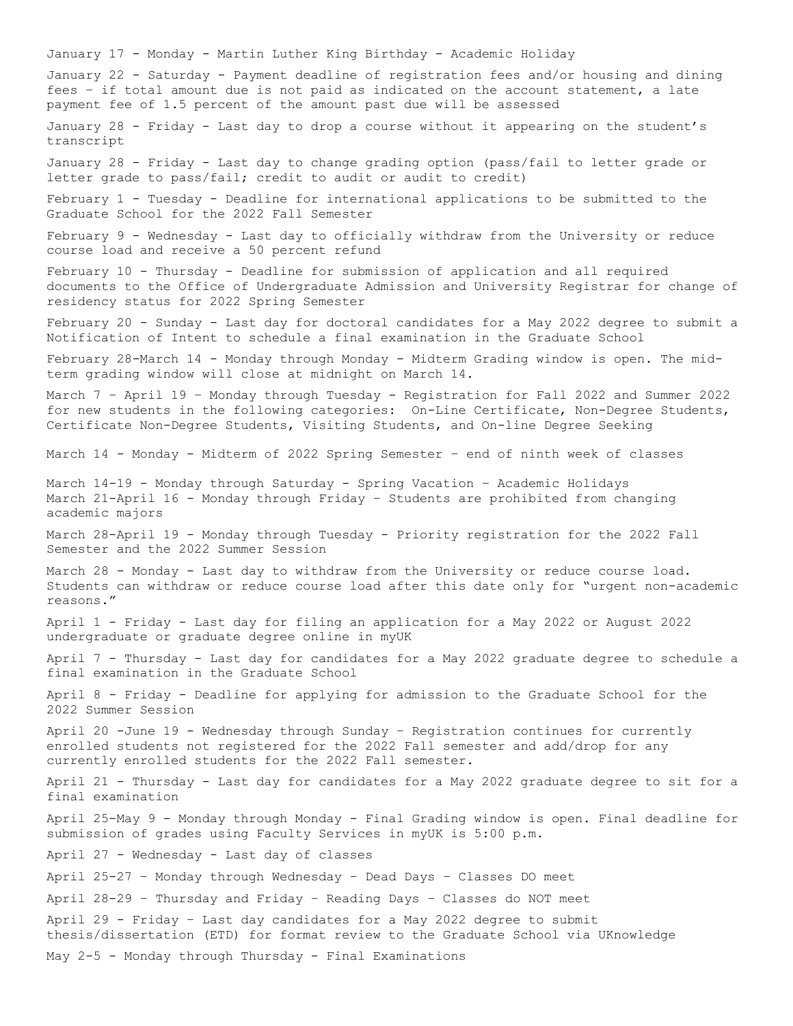January 17 - Monday - Martin Luther King Birthday - Academic Holiday January 22 - Saturday - Payment deadline of registration fees and/or housing and dining fees – if total amount due is not paid as indicated on the account statement, a late payment fee of 1.5 percent of the amount past due will be assessed January 28 - Friday - Last day to drop a course without it appearing on the student's transcript January 28 - Friday - Last day to change grading option (pass/fail to letter grade or letter grade to pass/fail; credit to audit or audit to credit) February 1 - Tuesday - Deadline for international applications to be submitted to the Graduate School for the 2022 Fall Semester February 9 - Wednesday - Last day to officially withdraw from the University or reduce course load and receive a 50 percent refund February 10 - Thursday - Deadline for submission of application and all required documents to the Office of Undergraduate Admission and University Registrar for change of residency status for 2022 Spring Semester February 20 - Sunday - Last day for doctoral candidates for a May 2022 degree to submit a Notification of Intent to schedule a final examination in the Graduate School February 28-March 14 - Monday through Monday - Midterm Grading window is open. The midterm grading window will close at midnight on March 14. March 7 – April 19 – Monday through Tuesday - Registration for Fall 2022 and Summer 2022 for new students in the following categories: On-Line Certificate, Non-Degree Students, Certificate Non-Degree Students, Visiting Students, and On-line Degree Seeking March 14 - Monday - Midterm of 2022 Spring Semester – end of ninth week of classes March 14-19 - Monday through Saturday - Spring Vacation – Academic Holidays March 21-April 16 - Monday through Friday – Students are prohibited from changing academic majors March 28-April 19 - Monday through Tuesday - Priority registration for the 2022 Fall Semester and the 2022 Summer Session March 28 - Monday - Last day to withdraw from the University or reduce course load. Students can withdraw or reduce course load after this date only for "urgent non-academic reasons." April 1 - Friday - Last day for filing an application for a May 2022 or August 2022 undergraduate or graduate degree online in myUK April 7 - Thursday - Last day for candidates for a May 2022 graduate degree to schedule a final examination in the Graduate School April 8 - Friday - Deadline for applying for admission to the Graduate School for the 2022 Summer Session April 20 -June 19 - Wednesday through Sunday – Registration continues for currently enrolled students not registered for the 2022 Fall semester and add/drop for any currently enrolled students for the 2022 Fall semester. April 21 - Thursday - Last day for candidates for a May 2022 graduate degree to sit for a final examination April 25-May 9 - Monday through Monday - Final Grading window is open. Final deadline for submission of grades using Faculty Services in myUK is 5:00 p.m. April 27 - Wednesday - Last day of classes April 25-27 – Monday through Wednesday – Dead Days – Classes DO meet April 28-29 – Thursday and Friday – Reading Days – Classes do NOT meet April 29 - Friday – Last day candidates for a May 2022 degree to submit thesis/dissertation (ETD) for format review to the Graduate School via UKnowledge May 2-5 - Monday through Thursday - Final Examinations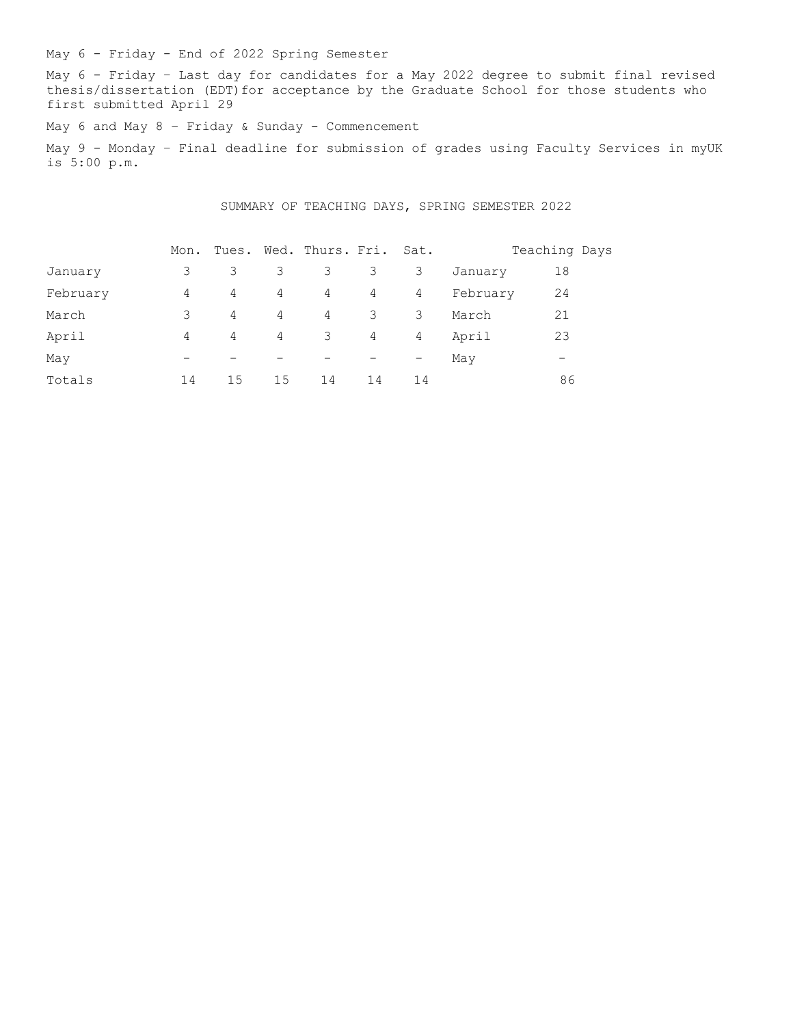May 6 - Friday - End of 2022 Spring Semester

May 6 - Friday – Last day for candidates for a May 2022 degree to submit final revised thesis/dissertation (EDT) for acceptance by the Graduate School for those students who first submitted April 29

May 6 and May 8 - Friday & Sunday - Commencement

May 9 - Monday – Final deadline for submission of grades using Faculty Services in myUK is 5:00 p.m.

SUMMARY OF TEACHING DAYS, SPRING SEMESTER 2022

|          | Mon.                     |                          |                          | Tues. Wed. Thurs. Fri. Sat. |    |                   |          | Teaching Days |
|----------|--------------------------|--------------------------|--------------------------|-----------------------------|----|-------------------|----------|---------------|
| January  | 3                        | 3                        | 3                        | 3                           | 3  | 3                 | January  | 18            |
| February | 4                        | 4                        | 4                        | 4                           | 4  | 4                 | February | 24            |
| March    | 3                        | 4                        | 4                        | 4                           | 3  | 3                 | March    | 21            |
| April    | 4                        | 4                        | 4                        | $\overline{\mathbf{3}}$     | 4  | 4                 | April    | 23            |
| May      | $\overline{\phantom{0}}$ | $\overline{\phantom{0}}$ | $\overline{\phantom{m}}$ |                             |    | $\qquad \qquad -$ | May      | -             |
| Totals   | 14                       | 15                       | 15                       | 14                          | 14 | 14                |          | 86            |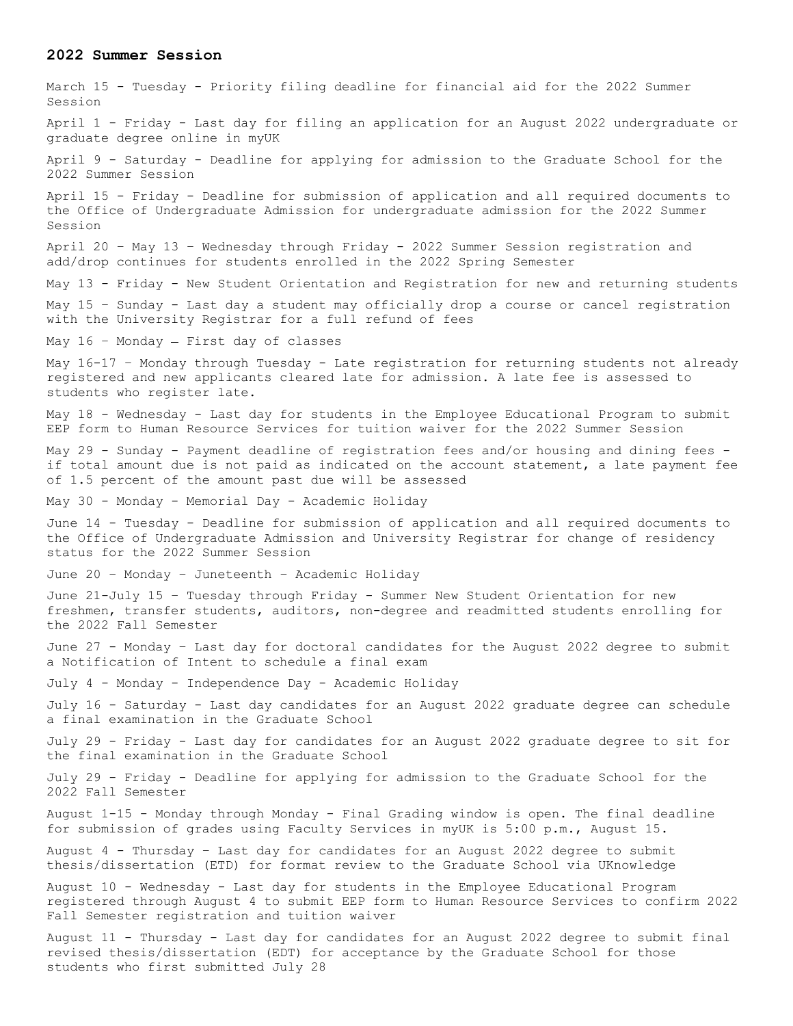#### **2022 Summer Session**

March 15 - Tuesday - Priority filing deadline for financial aid for the 2022 Summer Session April 1 - Friday - Last day for filing an application for an August 2022 undergraduate or graduate degree online in myUK April 9 - Saturday - Deadline for applying for admission to the Graduate School for the 2022 Summer Session April 15 - Friday - Deadline for submission of application and all required documents to the Office of Undergraduate Admission for undergraduate admission for the 2022 Summer Session April 20 – May 13 – Wednesday through Friday - 2022 Summer Session registration and add/drop continues for students enrolled in the 2022 Spring Semester May 13 - Friday - New Student Orientation and Registration for new and returning students May 15 – Sunday - Last day a student may officially drop a course or cancel registration with the University Registrar for a full refund of fees May  $16$  - Monday - First day of classes May 16-17 - Monday through Tuesday - Late registration for returning students not already registered and new applicants cleared late for admission. A late fee is assessed to students who register late. May 18 - Wednesday - Last day for students in the Employee Educational Program to submit EEP form to Human Resource Services for tuition waiver for the 2022 Summer Session May 29 - Sunday - Payment deadline of registration fees and/or housing and dining fees if total amount due is not paid as indicated on the account statement, a late payment fee of 1.5 percent of the amount past due will be assessed May 30 - Monday - Memorial Day - Academic Holiday June 14 - Tuesday - Deadline for submission of application and all required documents to the Office of Undergraduate Admission and University Registrar for change of residency status for the 2022 Summer Session June 20 – Monday – Juneteenth – Academic Holiday June 21-July 15 – Tuesday through Friday - Summer New Student Orientation for new freshmen, transfer students, auditors, non-degree and readmitted students enrolling for the 2022 Fall Semester June 27 - Monday – Last day for doctoral candidates for the August 2022 degree to submit a Notification of Intent to schedule a final exam July 4 - Monday - Independence Day - Academic Holiday July 16 - Saturday - Last day candidates for an August 2022 graduate degree can schedule a final examination in the Graduate School July 29 - Friday - Last day for candidates for an August 2022 graduate degree to sit for the final examination in the Graduate School July 29 - Friday - Deadline for applying for admission to the Graduate School for the 2022 Fall Semester August 1-15 - Monday through Monday - Final Grading window is open. The final deadline for submission of grades using Faculty Services in myUK is 5:00 p.m., August 15. August 4 - Thursday – Last day for candidates for an August 2022 degree to submit thesis/dissertation (ETD) for format review to the Graduate School via UKnowledge August 10 - Wednesday - Last day for students in the Employee Educational Program registered through August 4 to submit EEP form to Human Resource Services to confirm 2022 Fall Semester registration and tuition waiver August 11 - Thursday - Last day for candidates for an August 2022 degree to submit final revised thesis/dissertation (EDT) for acceptance by the Graduate School for those students who first submitted July 28